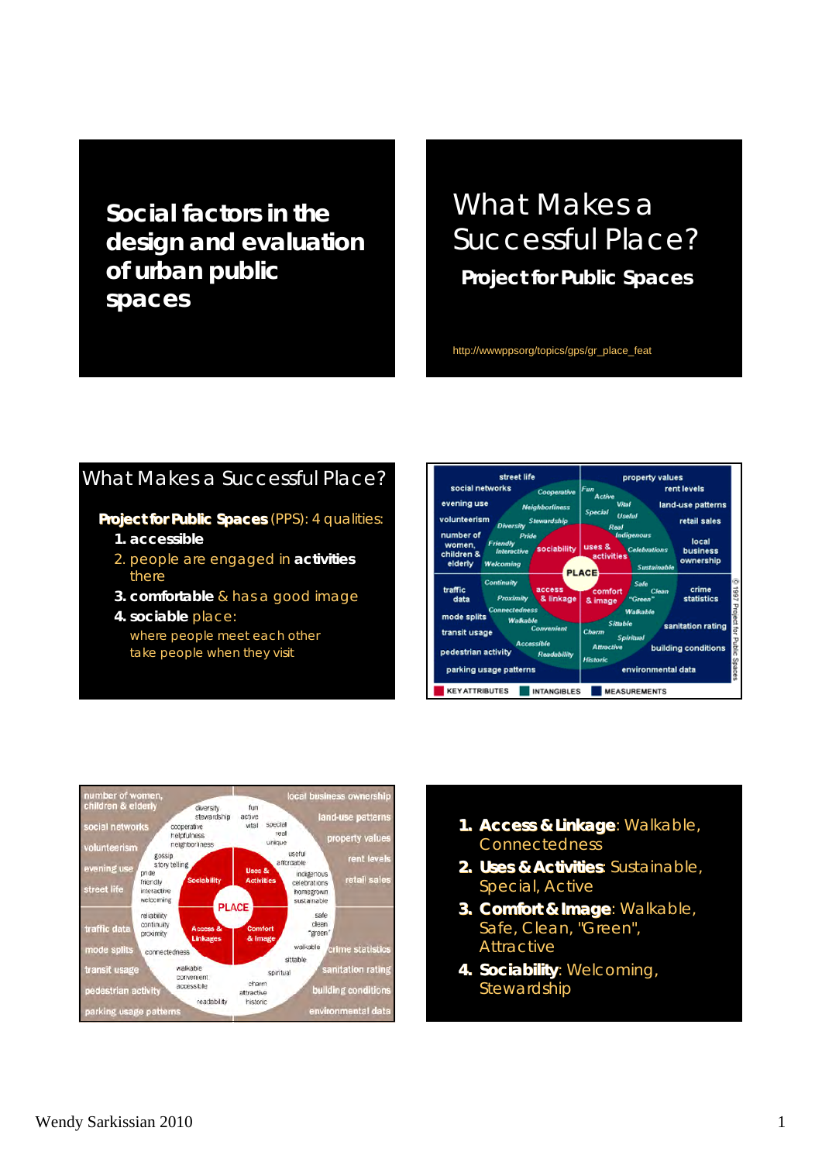*Social factors in the design and evaluation of urban public spaces*

# What Makes a Successful Place?

**Project for Public Spaces** 

http://wwwppsorg/topics/gps/gr\_place\_feat

#### What Makes a Successful Place?

**Project for Public Spaces** (PPS): 4 qualities:

- **1. accessible**
- 2. people are engaged in **activities** there
- **3. comfortable** & has a good image
- **4. sociable** place: where people meet each other take people when they visit





- **1. Access & Linkage**: Walkable, **Connectedness**
- **2. Uses & Activities Uses & Activities**: Sustainable, Special, Active
- **3. Comfort & Image**: Walkable, Safe, Clean, "Green", Attractive
- **4. Sociability**: Welcoming, Stewardship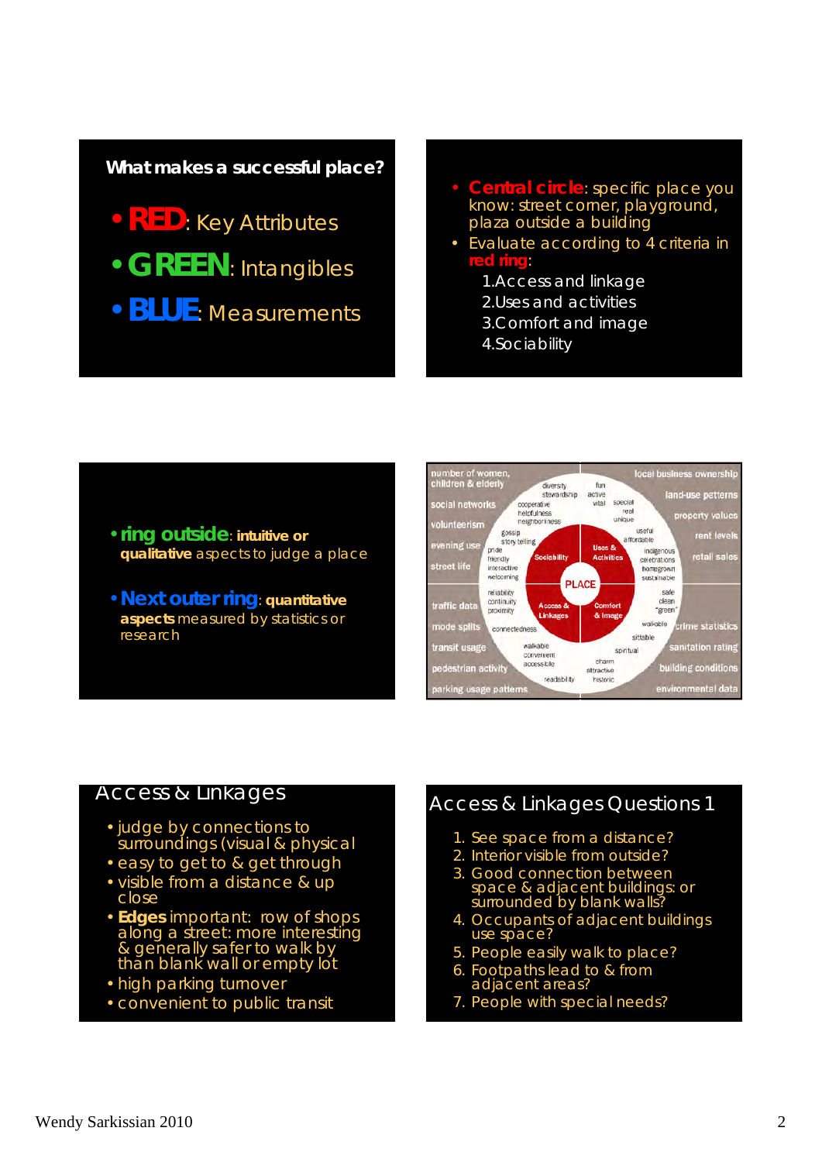#### **What makes a successful place?**

- •**RED**: Key Attributes
- •**GREEN**: Intangibles
- •**BLUE**: Measurements
- **Central circle**: specific place you know: street corner, playground, plaza outside a building
- Evaluate according to 4 criteria in **red ring**:
	- 1.Access and linkage
	- 2.Uses and activities
	- 3.Comfort and image
	- 4.Sociability

#### •**ring outside**: **intuitive or qualitative** aspects to judge a place

•**Next outer ring**: **quantitative aspects** measured by statistics or research



#### Access & Linkages

- •judge by connections to surroundings (visual & physical
- •easy to get to & get through
- visible from a distance & up close
- •**Edges** important: row of shops along a street: more interesting & generally safer to walk by than blank wall or empty lot
- •high parking turnover
- •convenient to public transit

#### Access & Linkages Questions 1

- 1. See space from a distance?
- 2. Interior visible from outside?
- 3. Good connection between space & adjacent buildings: or surrounded by blank walls?
- 4. Occupants of adjacent buildings use space?
- 5. People easily walk to place?
- 6. Footpaths lead to & from adjacent areas?
- 7. People with special needs?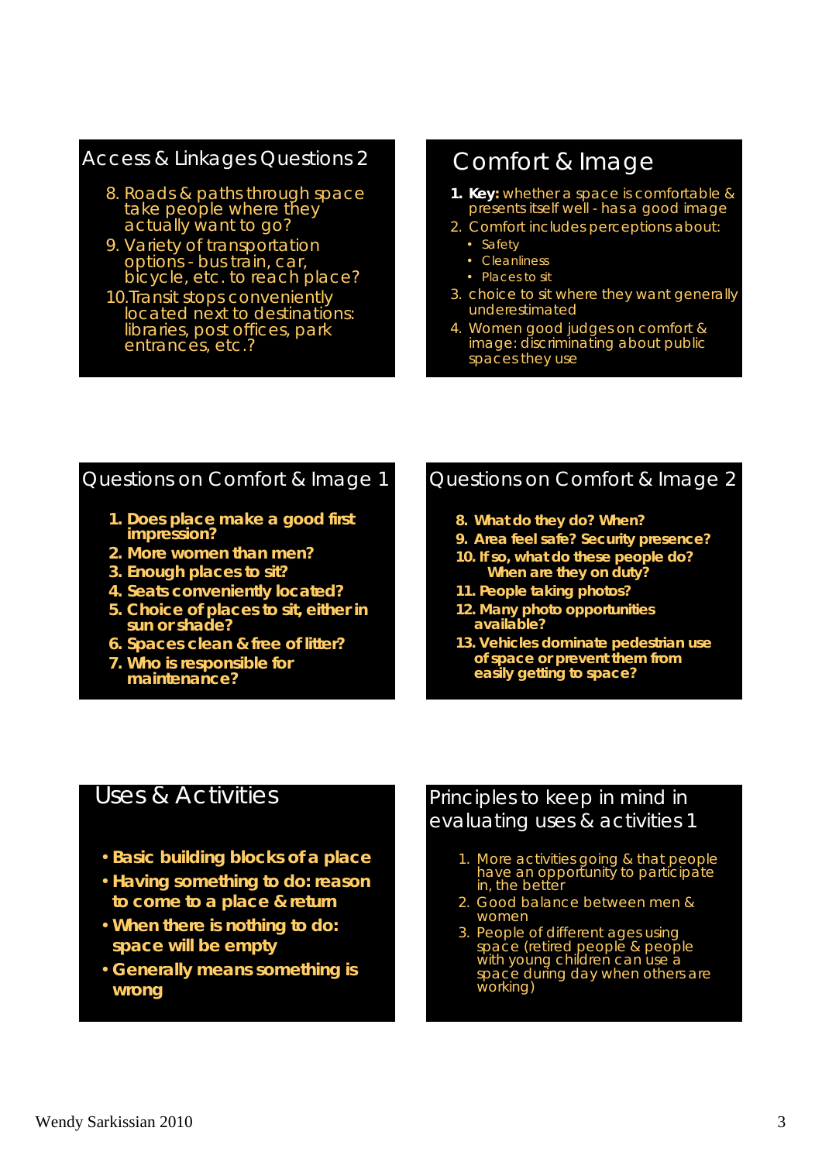#### Access & Linkages Questions 2

- 8. Roads & paths through space take people where they actually want to go?
- 9. Variety of transportation options - bus train, car, bicycle, etc. to reach place?
- 10.Transit stops conveniently located next to destinations: libraries, post offices, park entrances, etc.?

# Comfort & Image

- **1. Key:** whether a space is comfortable & presents itself well - has a good image
- 2. Comfort includes perceptions about:
	- Safety
	- Cleanliness
	- Places to sit
- 3. choice to sit where they want generally underestimated
- 4. Women good judges on comfort & image: discriminating about public spaces they use

#### Questions on Comfort & Image 1

- *1. Does place make a good first impression?*
- *2. More women than men?*
- *3. Enough places to sit?*
- *4. Seats conveniently located?*
- *5. Choice of places to sit, either in sun or shade?*
- *6. Spaces clean & free of litter?*
- *7. Who is responsible for maintenance?*

#### Questions on Comfort & Image 2

- *8. What do they do? When?*
- *9. Area feel safe? Security presence?*
- *10. If so, what do these people do? When are they on duty?*
- *11. People taking photos?*
- *12. Many photo opportunities available?*
- *13. Vehicles dominate pedestrian use of space or prevent them from easily getting to space?*

#### Uses & Activities

- •**Basic building blocks of a place**
- •**Having something to do: reason to come to a place & return**
- •**When there is nothing to do: space will be empty**
- •**Generally means something is wrong**

#### Principles to keep in mind in evaluating uses & activities 1

- 1. More activities going & that people have an opportunity to participate in, the better
- 2. Good balance between men & women
- 3. People of different ages using space (retired people & people with young children can use a space during day when others are working)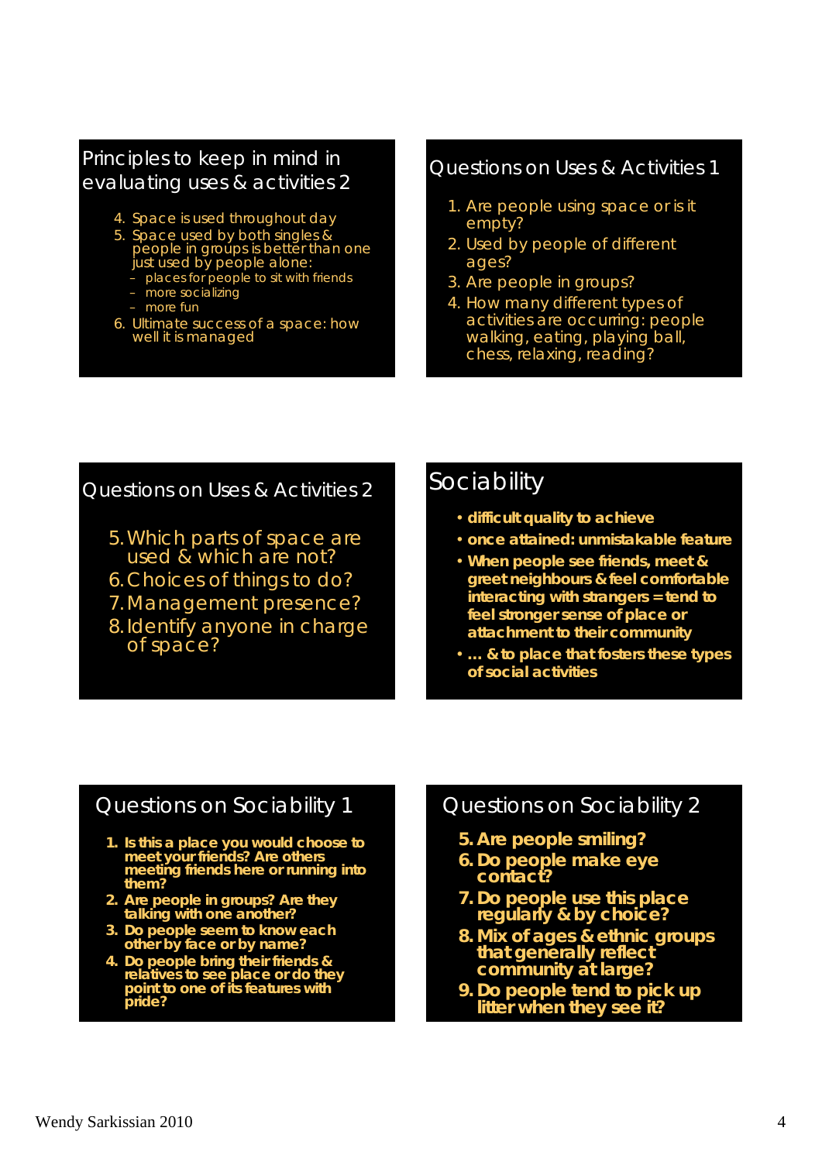#### Principles to keep in mind in evaluating uses & activities 2

- 4. Space is used throughout day
- 5. Space used by both singles & people in groups is better than one just used by people alone:
	- places for people to sit with friends
	- more socializing
	- more fun
- 6. Ultimate success of a space: how well it is managed

#### Questions on Uses & Activities 1

- 1. Are people using space or is it empty?
- 2. Used by people of different ages?
- 3. Are people in groups?
- 4. How many different types of activities are occurring: people walking, eating, playing ball, chess, relaxing, reading?

#### Questions on Uses & Activities 2

- 5.Which parts of space are used & which are not?
- 6.Choices of things to do?
- 7.Management presence?
- 8.Identify anyone in charge of space?

#### **Sociability**

- **difficult quality to achieve**
- **once attained: unmistakable feature**
- **When people see friends, meet & greet neighbours & feel comfortable interacting with strangers = tend to feel stronger sense of place or attachment to their community**
- **… & to place that fosters these types of social activities**

#### Questions on Sociability 1

- **1. Is this a place you would choose to meet your friends? Are others meeting friends here or running into them?**
- **2. Are people in groups? Are they talking with one another?**
- **3. Do people seem to know each other by face or by name?**
- **4. Do people bring their friends & relatives to see place or do they point to one of its features with pride?**

#### Questions on Sociability 2

- **5. Are people smiling?**
- **6. Do people make eye contact?**
- **7. Do people use this place regularly & by choice?**
- **8. Mix of ages & ethnic groups that generally reflect community at large?**
- **9. Do people tend to pick up litter when they see it?**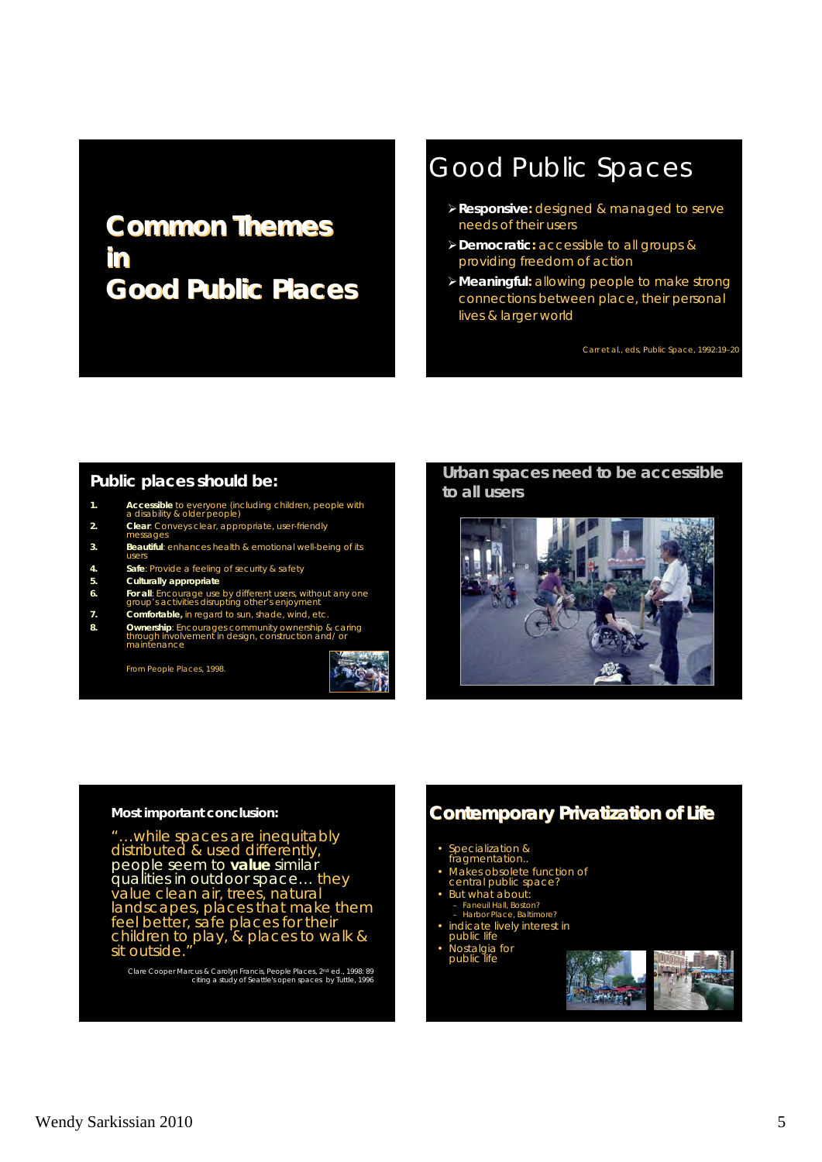# **Common Themes Common Themes in Good Public Places Good Public Places**

# Good Public Spaces

- **Responsive:** designed & managed to serve needs of their users
- **Democratic:** accessible to all groups & providing freedom of action
- **Meaningful:** allowing people to make strong connections between place, their personal lives & larger world

Carr *et al.,* eds*, Public Space,* 1992:19–20

#### **Public places should be:**

- **1. Accessible** to everyone (including children, people with a disability & older people)
- 
- **2. Clear**: Conveys clear, appropriate, user-friendly messages
- **3.** Beautiful: enhances health & emotional well-being of its
- **4. Safe**: Provide a feeling of security & safety
- **5. Culturally appropriate**
- **6.** For all: Encourage use by different users, without any one group's activities disrupting other's enjoyment
- **7. Comfortable,** in regard to sun, shade, wind, etc.
- **8.** Ownership: Encourages community ownership & caring through involvement in design, construction and/ or maintenance

From *People Places*, 1998.



#### **Urban spaces need to be accessible to all users**



#### **Most important conclusion:**

"…while spaces are inequitably distributed & used differently, people seem to *value* similar qualities in outdoor space… they value clean air, trees, natural landscapes, places that make them feel better, safe places for their children to play, & places to walk & sit outside."

Clare Cooper Marcus & Carolyn Francis, *People Places*, 2nd ed., 1998: 89 citing a study of Seattle's open spaces by Tuttle, 1996

#### **Contemporary Privatization of Life**

#### • Specialization &

- fragmentation..
- Makes obsolete function of
- central public space? But what about:
- **Late What about:**<br>- Faneuil Hall, Boston?<br>- Harbor Place, Baltime
- 
- Harbor Place, Baltimore? indicate lively interest in public life
- Nostalgia for public life

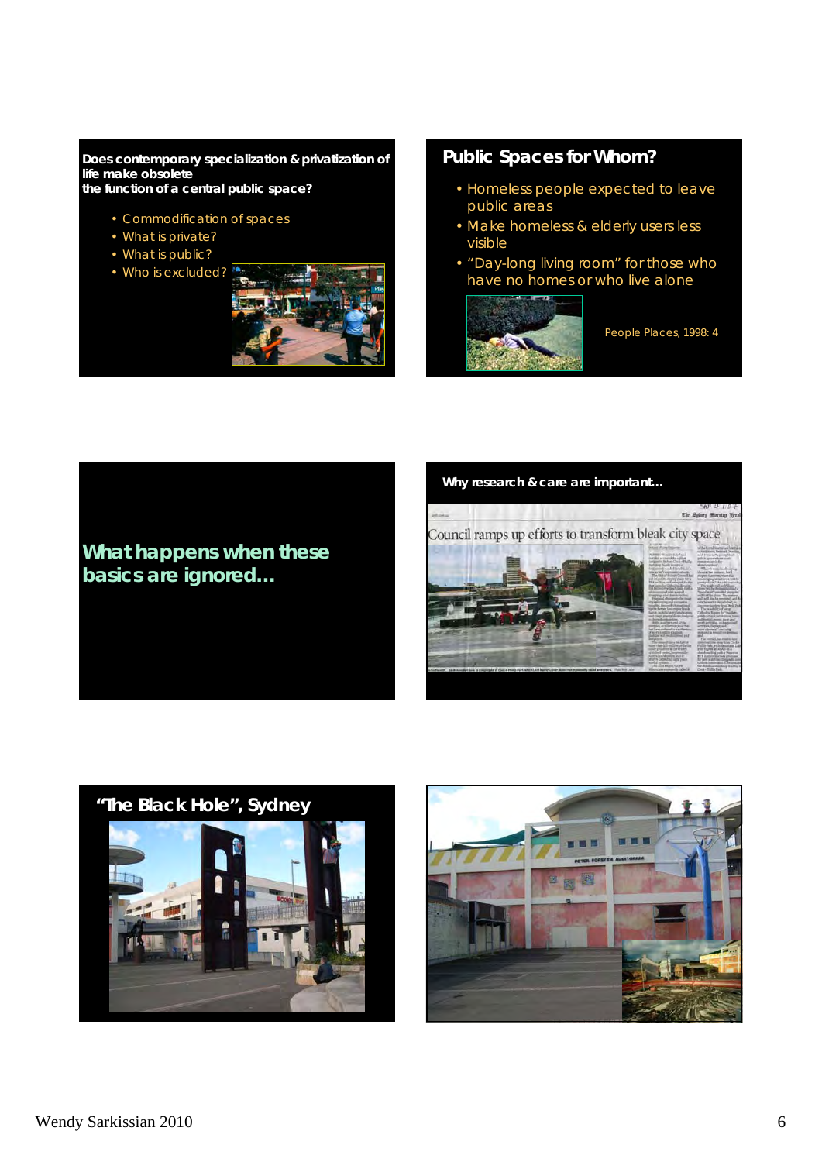#### **Does contemporary specialization & privatization of life make obsolete**

**the function of a central public space?**

- Commodification of spaces
- What is private?
- What is public?
- Who is excluded?



#### **Public Spaces for Whom?**

- Homeless people expected to leave public areas
- Make homeless & elderly users less visible
- "Day-long living room" for those who have no homes or who live alone



*People Places*, 1998: 4



#### **Why research & care are important…**





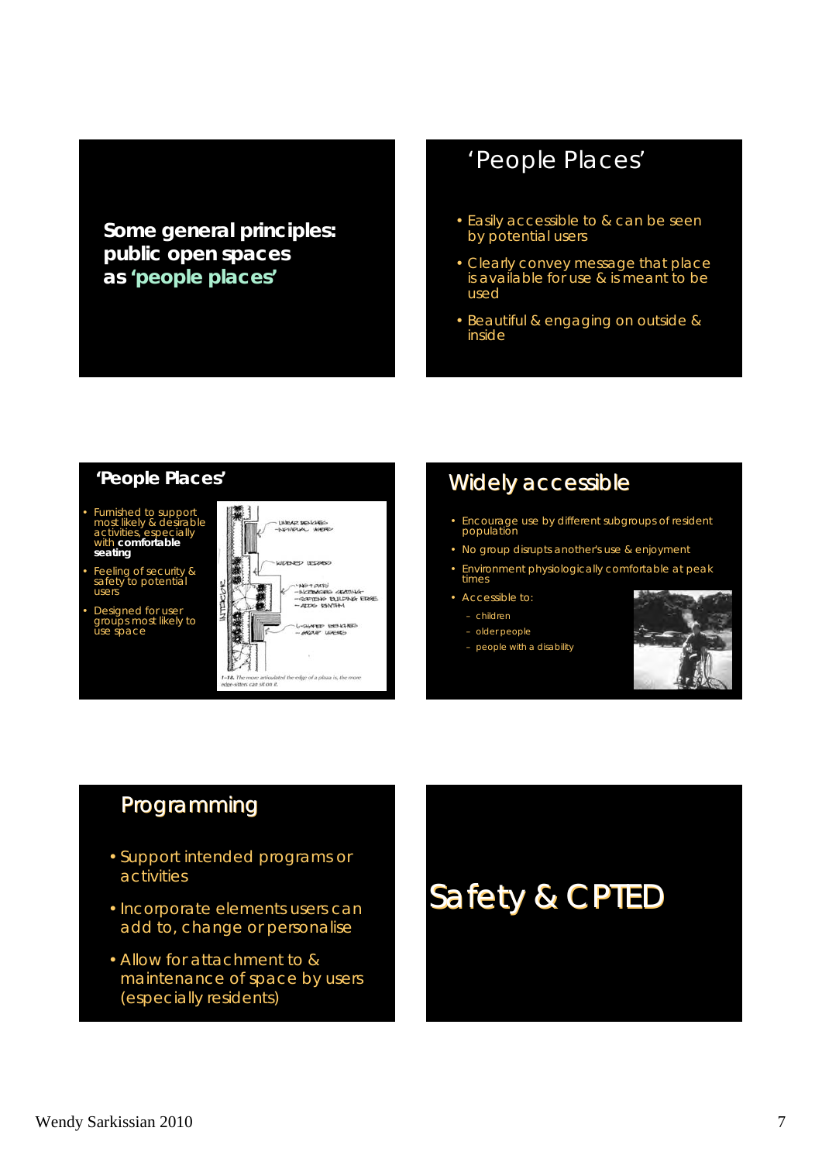**Some general principles: public open spaces as 'people places'**

## *'People Places'*

- Easily accessible to & can be seen by potential users
- Clearly convey message that place is available for use & is meant to be used
- Beautiful & engaging on outside & inside

#### **'People Places'**

- Furnished to support most likely & desirable activities, especially with **comfortable seating**
- Feeling of security & safety to potential users
- Designed for user groups most likely to use space



#### Widely accessible

- Encourage use by different subgroups of resident population
- No group disrupts another's use & enjoyment
- Environment physiologically comfortable at peak times
- Accessible to:
	- children
	- older people
	- people with a disability



#### Programming

- Support intended programs or activities
- Incorporate elements users can add to, change or personalise
- Allow for attachment to & maintenance of space by users (especially residents)

Safety & CPTED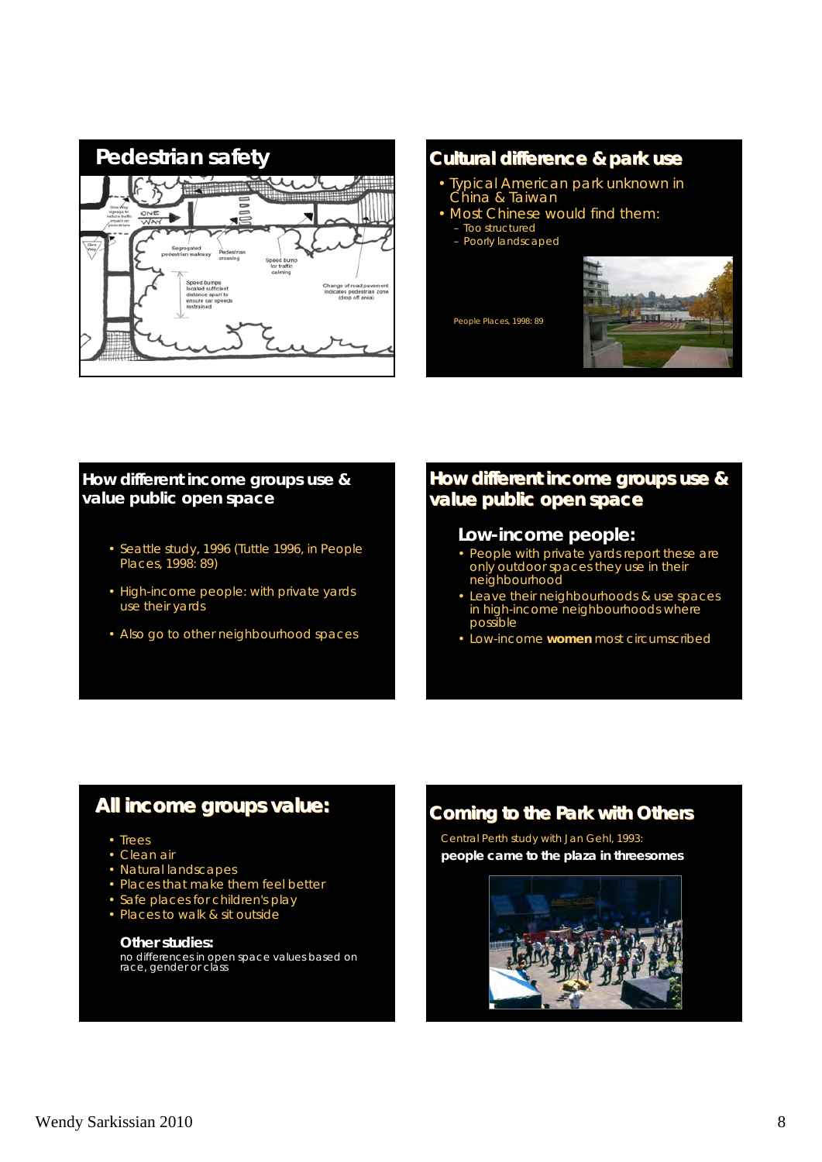

#### **Cultural difference & park use** • Typical American park unknown in China & Taiwan • Most Chinese would find them:

- Too structured
- Poorly landscaped

*People Places*, 1998: 89



#### **How different income groups use & value public open space**

- Seattle study, 1996 (Tuttle 1996, in *People Places*, 1998: 89)
- High-income people: with private yards use their yards
- Also go to other neighbourhood spaces

#### How different income groups use & **value public open space**

#### **Low-income people:**

- People with private yards report these are only outdoor spaces they use in their neighbourhood
- Leave their neighbourhoods & use spaces in high-income neighbourhoods where possible
- Low-income **women** most circumscribed

#### **All income groups value: All income groups value:**

- Trees
- Clean air
- Natural landscapes
- Places that make them feel better
- Safe places for children's play
- Places to walk & sit outside

#### **Other studies:**

no differences in open space values based on race, gender or class

#### **Coming to the Park with Others**

Central Perth study with Jan Gehl, 1993: **people came to the plaza in threesomes**

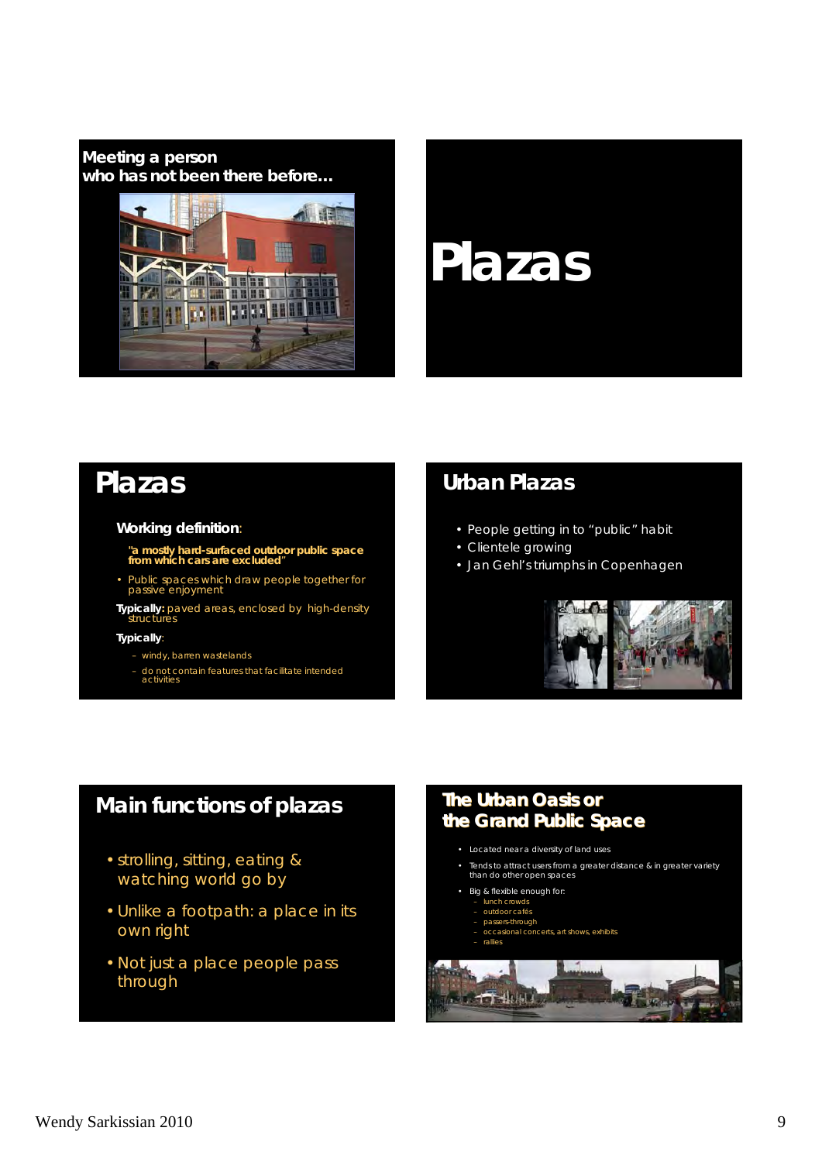**Meeting a person who has not been there before…**



# **Plazas**

# **Plazas**

#### *Working definition*:

*"a mostly hard-surfaced outdoor public space from which cars are excluded*"

• Public spaces which draw people together for passive enjoyment

*Typically***:** paved areas, enclosed by high-density structures

#### *Typically:*

- windy, barren wastelands
- do not contain features that facilitate intended activities

# **Urban Plazas**

- People getting in to "public" habit
- Clientele growing
- Jan Gehl's triumphs in Copenhagen



#### **Main functions of plazas**

- strolling, sitting, eating & watching world go by
- Unlike a footpath: a place in its own right
- Not just a place people pass through

#### **The** *Urban Oasis Urban Oasis***or the** *Grand Public Space*

- Located near a diversity of land uses
- Tends to attract users from a greater distance & in greater variety than do other open spaces
- 
- Big & flexible enough for:
- lunch crowds outdoor cafés
- passers-through
- occasional concerts, art shows, exhibits
- rallies

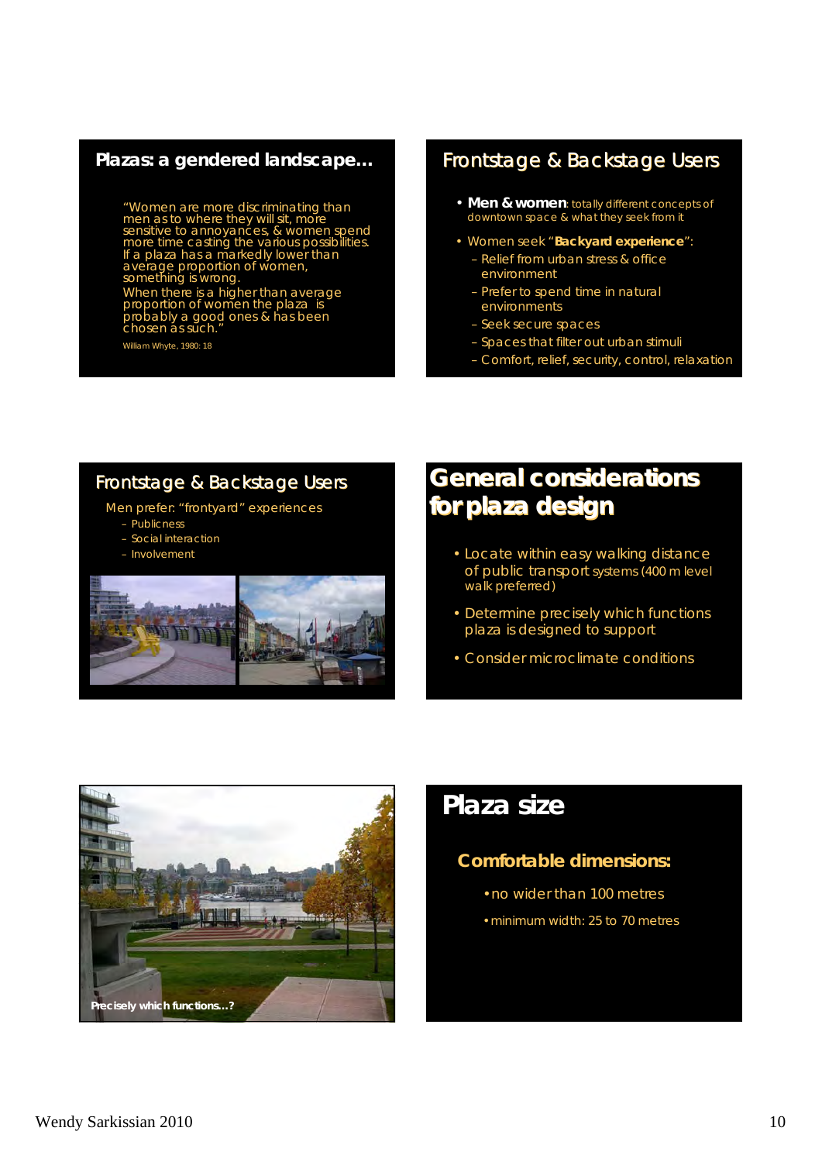#### **Plazas: a gendered landscape…**

*"Women are more discriminating than men as to where they will sit, more sensitive to annoyances, & women spend more time casting the various possibilities. If a plaza has a markedly lower than average proportion of women, something is wrong. When there is a higher than average proportion of women the plaza is probably a good ones & has been chosen as such."*

William Whyte, 1980: 18

#### Frontstage & Backstage Users

- **Men & women**: totally different concepts of downtown space & what they seek from it
- Women seek "*Backyard experience*": – Relief from urban stress & office
	- environment – Prefer to spend time in natural
	- environments
	- Seek secure spaces
	- Spaces that filter out urban stimuli
	- Comfort, relief, security, control, relaxation

#### Frontstage & Backstage Users

- Men prefer: "frontyard" experiences
	- Publicness
	- Social interaction
	- Involvement



# **General considerations General considerations for plaza design for plaza design**

- Locate within easy walking distance of public transport systems (400 m level walk preferred)
- Determine precisely which functions plaza is designed to support
- Consider microclimate conditions



#### **Comfortable dimensions:**

- •no wider than 100 metres
- •minimum width: 25 to 70 metres

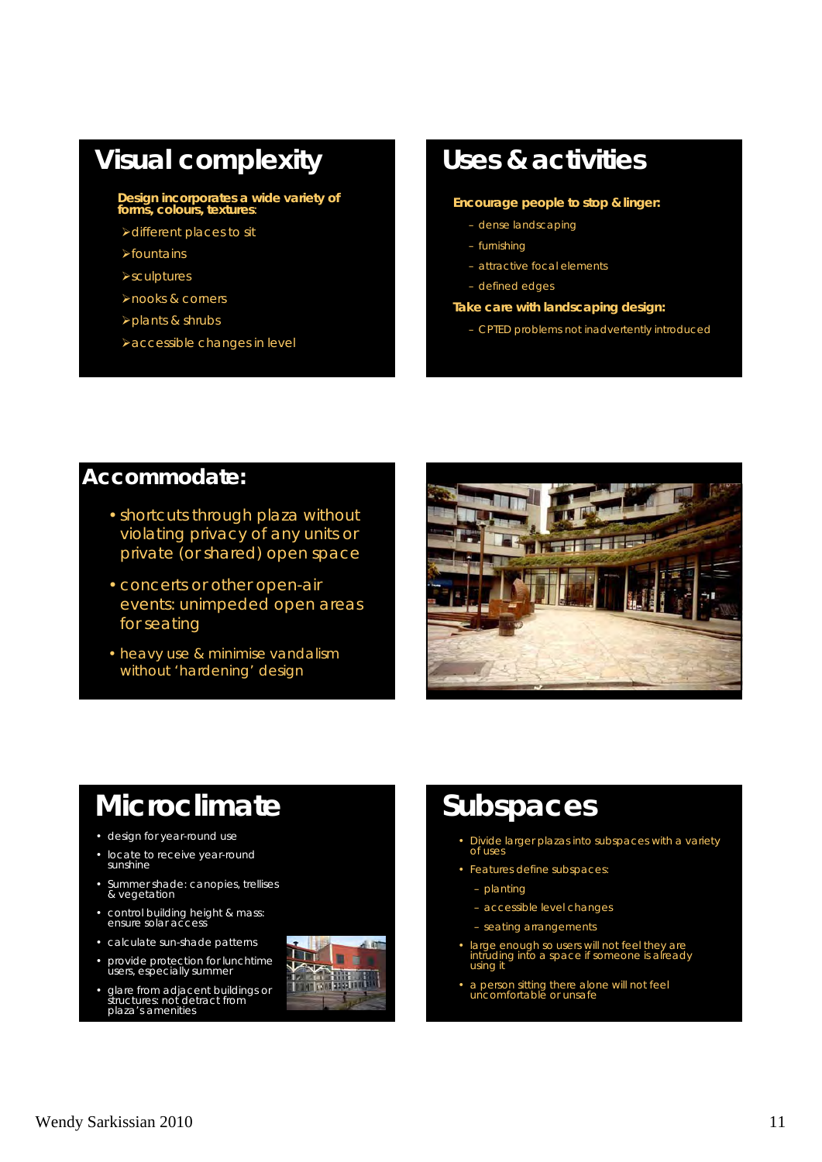# **Visual complexity**

#### **Design incorporates a wide variety of forms, colours, textures**:

- different places to sit
- $\blacktriangleright$  fountains
- **>sculptures**
- nooks & corners
- plants & shrubs
- accessible changes in level

# **Uses & activities**

#### **Encourage people to stop & linger:**

- dense landscaping
- furnishing
- attractive focal elements
- defined edges

#### **Take care with landscaping design:**

– CPTED problems not inadvertently introduced

#### **Accommodate:**

- shortcuts through plaza without violating privacy of any units or private (or shared) open space
- concerts or other open-air events: unimpeded open areas for seating
- heavy use & minimise vandalism without 'hardening' design



# **Microclimate**

- design for year-round use
- locate to receive year-round sunshine
- Summer shade: canopies, trellises & vegetation
- control building height & mass: ensure solar access
- calculate sun-shade patterns
- provide protection for lunchtime users, especially summer
- glare from adjacent buildings or structures: not detract from plaza's amenities



# *Subspaces*

- Divide larger plazas into subspaces with a variety of uses
- Features define subspaces:
	- planting
	- accessible level changes
	- seating arrangements
- large enough so users will not feel they are intruding into a space if someone is already using it
- a person sitting there alone will not feel uncomfortable or unsafe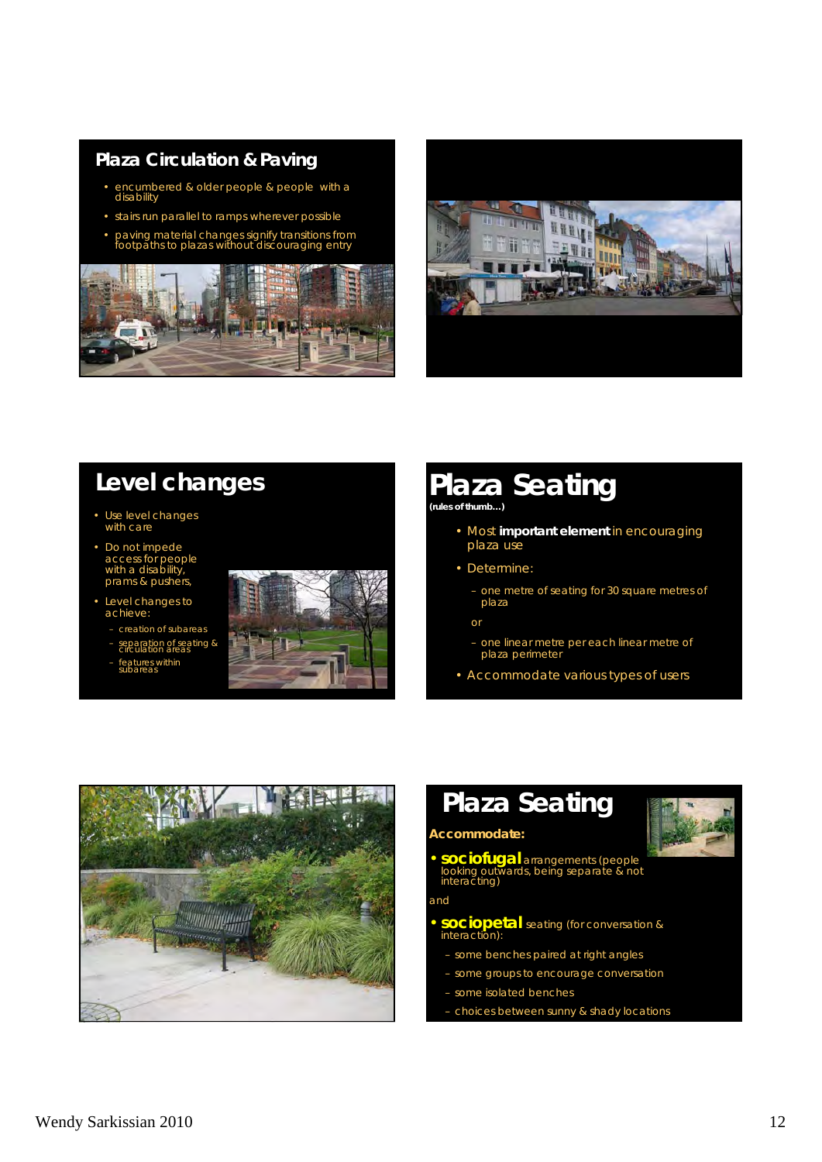#### **Plaza Circulation & Paving**

- encumbered & older people & people with a disability
- stairs run parallel to ramps wherever possible
- paving material changes signify transitions from footpaths to plazas without discouraging entry





# **Level changes**

- Use level changes with care
- Do not impede access for people with a disability, prams & pushers,
- Level changes to achieve:
	- creation of subareas
	- separation of seating & circulation areas
	- features within<br>subareas



# **Plaza Seating**

**(rules of thumb…)**

- Most **important element** in encouraging plaza use
- Determine:
	- one metre of seating for 30 square metres of plaza

or

- one linear metre per each linear metre of plaza perimeter
- Accommodate various types of users



# **Plaza Seating**



**Accommodate:**

**• sociofugal** arrangements (people looking outwards, being separate & not interacting)

and

- **sociopetal** seating (for conversation & interaction):
	- some benches paired at right angles
	- some groups to encourage conversation
	- some isolated benches
	- choices between sunny & shady locations